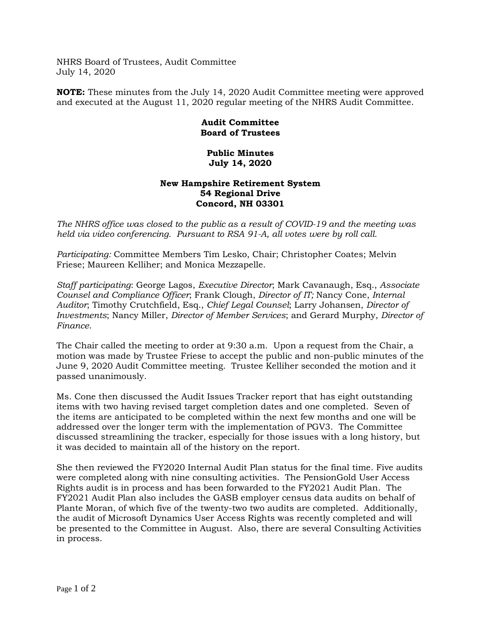NHRS Board of Trustees, Audit Committee July 14, 2020

**NOTE:** These minutes from the July 14, 2020 Audit Committee meeting were approved and executed at the August 11, 2020 regular meeting of the NHRS Audit Committee.

## **Audit Committee Board of Trustees**

## **Public Minutes July 14, 2020**

## **New Hampshire Retirement System 54 Regional Drive Concord, NH 03301**

*The NHRS office was closed to the public as a result of COVID-19 and the meeting was held via video conferencing. Pursuant to RSA 91-A, all votes were by roll call.*

*Participating:* Committee Members Tim Lesko, Chair; Christopher Coates; Melvin Friese; Maureen Kelliher; and Monica Mezzapelle.

*Staff participating*: George Lagos, *Executive Director*; Mark Cavanaugh, Esq., *Associate Counsel and Compliance Officer*; Frank Clough, *Director of IT;* Nancy Cone, *Internal Auditor*; Timothy Crutchfield, Esq., *Chief Legal Counsel*; Larry Johansen, *Director of Investments*; Nancy Miller, *Director of Member Services*; and Gerard Murphy, *Director of Finance*.

The Chair called the meeting to order at 9:30 a.m. Upon a request from the Chair, a motion was made by Trustee Friese to accept the public and non-public minutes of the June 9, 2020 Audit Committee meeting. Trustee Kelliher seconded the motion and it passed unanimously.

Ms. Cone then discussed the Audit Issues Tracker report that has eight outstanding items with two having revised target completion dates and one completed. Seven of the items are anticipated to be completed within the next few months and one will be addressed over the longer term with the implementation of PGV3. The Committee discussed streamlining the tracker, especially for those issues with a long history, but it was decided to maintain all of the history on the report.

She then reviewed the FY2020 Internal Audit Plan status for the final time. Five audits were completed along with nine consulting activities. The PensionGold User Access Rights audit is in process and has been forwarded to the FY2021 Audit Plan. The FY2021 Audit Plan also includes the GASB employer census data audits on behalf of Plante Moran, of which five of the twenty-two two audits are completed. Additionally, the audit of Microsoft Dynamics User Access Rights was recently completed and will be presented to the Committee in August. Also, there are several Consulting Activities in process.